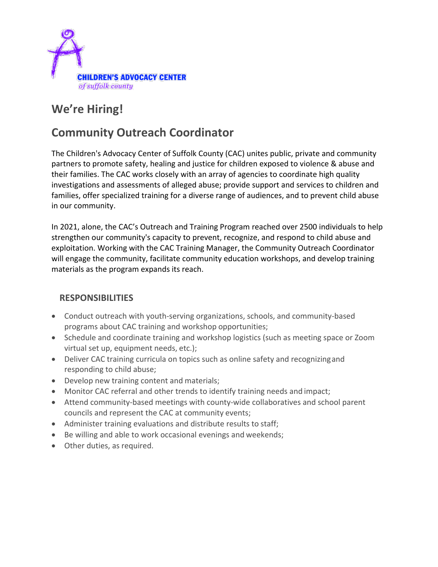

# **We're Hiring!**

# **Community Outreach Coordinator**

The Children's Advocacy Center of Suffolk County (CAC) unites public, private and community partners to promote safety, healing and justice for children exposed to violence & abuse and their families. The CAC works closely with an array of agencies to coordinate high quality investigations and assessments of alleged abuse; provide support and services to children and families, offer specialized training for a diverse range of audiences, and to prevent child abuse in our community.

In 2021, alone, the CAC's Outreach and Training Program reached over 2500 individuals to help strengthen our community's capacity to prevent, recognize, and respond to child abuse and exploitation. Working with the CAC Training Manager, the Community Outreach Coordinator will engage the community, facilitate community education workshops, and develop training materials as the program expands its reach.

## **RESPONSIBILITIES**

- Conduct outreach with youth-serving organizations, schools, and community-based programs about CAC training and workshop opportunities;
- Schedule and coordinate training and workshop logistics (such as meeting space or Zoom virtual set up, equipment needs, etc.);
- Deliver CAC training curricula on topics such as online safety and recognizingand responding to child abuse;
- Develop new training content and materials;
- Monitor CAC referral and other trends to identify training needs and impact;
- Attend community-based meetings with county-wide collaboratives and school parent councils and represent the CAC at community events;
- Administer training evaluations and distribute results to staff;
- Be willing and able to work occasional evenings and weekends;
- Other duties, as required.